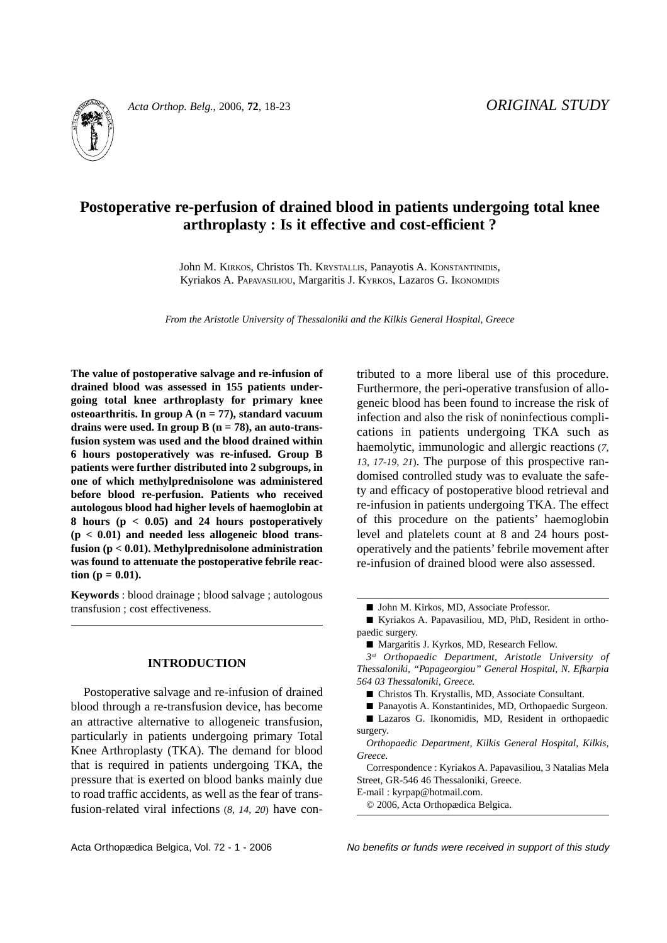

*Acta Orthop. Belg.*, 2006, **72**, 18-23 *ORIGINAL STUDY*

# **Postoperative re-perfusion of drained blood in patients undergoing total knee arthroplasty : Is it effective and cost-efficient ?**

John M. KIRKOS, Christos Th. KRYSTALLIS, Panayotis A. KONSTANTINIDIS, Kyriakos A. PAPAVASILIOU, Margaritis J. KYRKOS, Lazaros G. IKONOMIDIS

*From the Aristotle University of Thessaloniki and the Kilkis General Hospital, Greece*

**The value of postoperative salvage and re-infusion of drained blood was assessed in 155 patients undergoing total knee arthroplasty for primary knee osteoarthritis. In group A (n = 77), standard vacuum drains were used. In group B (n = 78), an auto-transfusion system was used and the blood drained within 6 hours postoperatively was re-infused. Group B patients were further distributed into 2 subgroups, in one of which methylprednisolone was administered before blood re-perfusion. Patients who received autologous blood had higher levels of haemoglobin at 8 hours (p < 0.05) and 24 hours postoperatively (p < 0.01) and needed less allogeneic blood transfusion (p < 0.01). Methylprednisolone administration was found to attenuate the postoperative febrile reac-** $\text{tion}$  ( $\textbf{p} = 0.01$ ).

**Keywords** : blood drainage ; blood salvage ; autologous transfusion ; cost effectiveness.

## **INTRODUCTION**

Postoperative salvage and re-infusion of drained blood through a re-transfusion device, has become an attractive alternative to allogeneic transfusion, particularly in patients undergoing primary Total Knee Arthroplasty (TKA). The demand for blood that is required in patients undergoing TKA, the pressure that is exerted on blood banks mainly due to road traffic accidents, as well as the fear of transfusion-related viral infections (*8, 14, 20*) have contributed to a more liberal use of this procedure. Furthermore, the peri-operative transfusion of allogeneic blood has been found to increase the risk of infection and also the risk of noninfectious complications in patients undergoing TKA such as haemolytic, immunologic and allergic reactions (*7, 13, 17-19, 21*). The purpose of this prospective randomised controlled study was to evaluate the safety and efficacy of postoperative blood retrieval and re-infusion in patients undergoing TKA. The effect of this procedure on the patients' haemoglobin level and platelets count at 8 and 24 hours postoperatively and the patients' febrile movement after re-infusion of drained blood were also assessed.

*3rd Orthopaedic Department, Aristotle University of Thessaloniki, "Papageorgiou" General Hospital, N. Efkarpia 564 03 Thessaloniki, Greece.*

■ Christos Th. Krystallis, MD, Associate Consultant.

■ Lazaros G. Ikonomidis, MD, Resident in orthopaedic surgery.

*Orthopaedic Department, Kilkis General Hospital, Kilkis, Greece.*

Correspondence : Kyriakos A. Papavasiliou, 3 Natalias Mela Street, GR-546 46 Thessaloniki, Greece.

E-mail : kyrpap@hotmail.com.

© 2006, Acta Orthopædica Belgica.

Acta Orthopædica Belgica, Vol. 72 - 1 - 2006 No benefits or funds were received in support of this study

<sup>■</sup> John M. Kirkos, MD, Associate Professor.

<sup>■</sup> Kyriakos A. Papavasiliou, MD, PhD, Resident in orthopaedic surgery.

<sup>■</sup> Margaritis J. Kyrkos, MD, Research Fellow.

<sup>■</sup> Panayotis A. Konstantinides, MD, Orthopaedic Surgeon.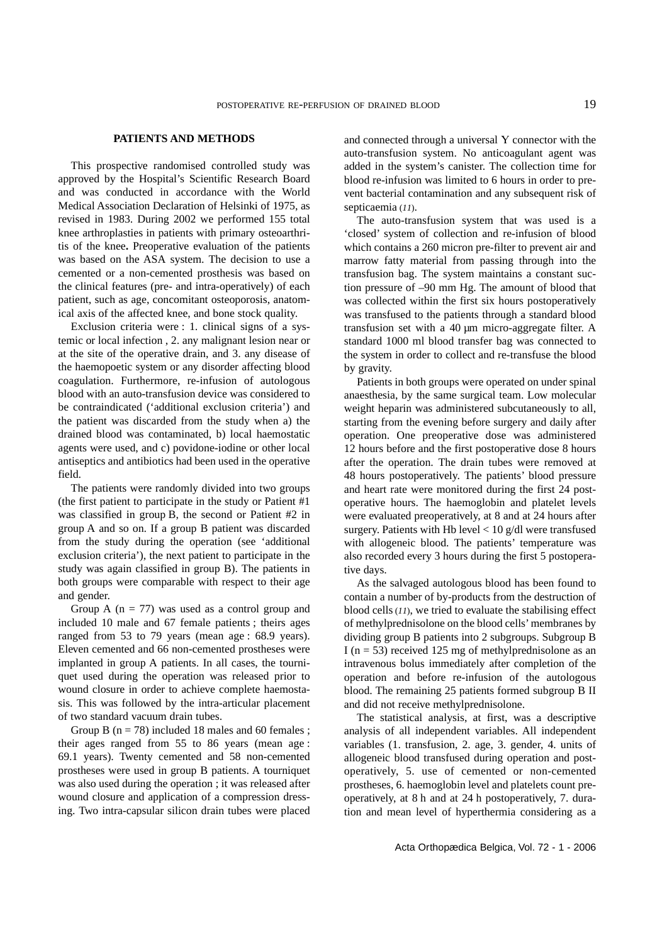#### **PATIENTS AND METHODS**

This prospective randomised controlled study was approved by the Hospital's Scientific Research Board and was conducted in accordance with the World Medical Association Declaration of Helsinki of 1975, as revised in 1983. During 2002 we performed 155 total knee arthroplasties in patients with primary osteoarthritis of the knee**.** Preoperative evaluation of the patients was based on the ASA system. The decision to use a cemented or a non-cemented prosthesis was based on the clinical features (pre- and intra-operatively) of each patient, such as age, concomitant osteoporosis, anatomical axis of the affected knee, and bone stock quality.

Exclusion criteria were : 1. clinical signs of a systemic or local infection , 2. any malignant lesion near or at the site of the operative drain, and 3. any disease of the haemopoetic system or any disorder affecting blood coagulation. Furthermore, re-infusion of autologous blood with an auto-transfusion device was considered to be contraindicated ('additional exclusion criteria') and the patient was discarded from the study when a) the drained blood was contaminated, b) local haemostatic agents were used, and c) povidone-iodine or other local antiseptics and antibiotics had been used in the operative field.

The patients were randomly divided into two groups (the first patient to participate in the study or Patient #1 was classified in group B, the second or Patient #2 in group A and so on. If a group B patient was discarded from the study during the operation (see 'additional exclusion criteria'), the next patient to participate in the study was again classified in group B). The patients in both groups were comparable with respect to their age and gender.

Group A  $(n = 77)$  was used as a control group and included 10 male and 67 female patients ; theirs ages ranged from 53 to 79 years (mean age : 68.9 years). Eleven cemented and 66 non-cemented prostheses were implanted in group A patients. In all cases, the tourniquet used during the operation was released prior to wound closure in order to achieve complete haemostasis. This was followed by the intra-articular placement of two standard vacuum drain tubes.

Group B  $(n = 78)$  included 18 males and 60 females; their ages ranged from 55 to 86 years (mean age : 69.1 years). Twenty cemented and 58 non-cemented prostheses were used in group B patients. A tourniquet was also used during the operation ; it was released after wound closure and application of a compression dressing. Two intra-capsular silicon drain tubes were placed

and connected through a universal Y connector with the auto-transfusion system. No anticoagulant agent was added in the system's canister. The collection time for blood re-infusion was limited to 6 hours in order to prevent bacterial contamination and any subsequent risk of septicaemia (*11*).

The auto-transfusion system that was used is a 'closed' system of collection and re-infusion of blood which contains a 260 micron pre-filter to prevent air and marrow fatty material from passing through into the transfusion bag. The system maintains a constant suction pressure of –90 mm Hg. The amount of blood that was collected within the first six hours postoperatively was transfused to the patients through a standard blood transfusion set with a 40 µm micro-aggregate filter. A standard 1000 ml blood transfer bag was connected to the system in order to collect and re-transfuse the blood by gravity.

Patients in both groups were operated on under spinal anaesthesia, by the same surgical team. Low molecular weight heparin was administered subcutaneously to all, starting from the evening before surgery and daily after operation. One preoperative dose was administered 12 hours before and the first postoperative dose 8 hours after the operation. The drain tubes were removed at 48 hours postoperatively. The patients' blood pressure and heart rate were monitored during the first 24 postoperative hours. The haemoglobin and platelet levels were evaluated preoperatively, at 8 and at 24 hours after surgery. Patients with Hb level < 10 g/dl were transfused with allogeneic blood. The patients' temperature was also recorded every 3 hours during the first 5 postoperative days.

As the salvaged autologous blood has been found to contain a number of by-products from the destruction of blood cells (*11*), we tried to evaluate the stabilising effect of methylprednisolone on the blood cells' membranes by dividing group B patients into 2 subgroups. Subgroup B I ( $n = 53$ ) received 125 mg of methylprednisolone as an intravenous bolus immediately after completion of the operation and before re-infusion of the autologous blood. The remaining 25 patients formed subgroup B II and did not receive methylprednisolone.

The statistical analysis, at first, was a descriptive analysis of all independent variables. All independent variables (1. transfusion, 2. age, 3. gender, 4. units of allogeneic blood transfused during operation and postoperatively, 5. use of cemented or non-cemented prostheses, 6. haemoglobin level and platelets count preoperatively, at 8 h and at 24 h postoperatively, 7. duration and mean level of hyperthermia considering as a

Acta Orthopædica Belgica, Vol. 72 - 1 - 2006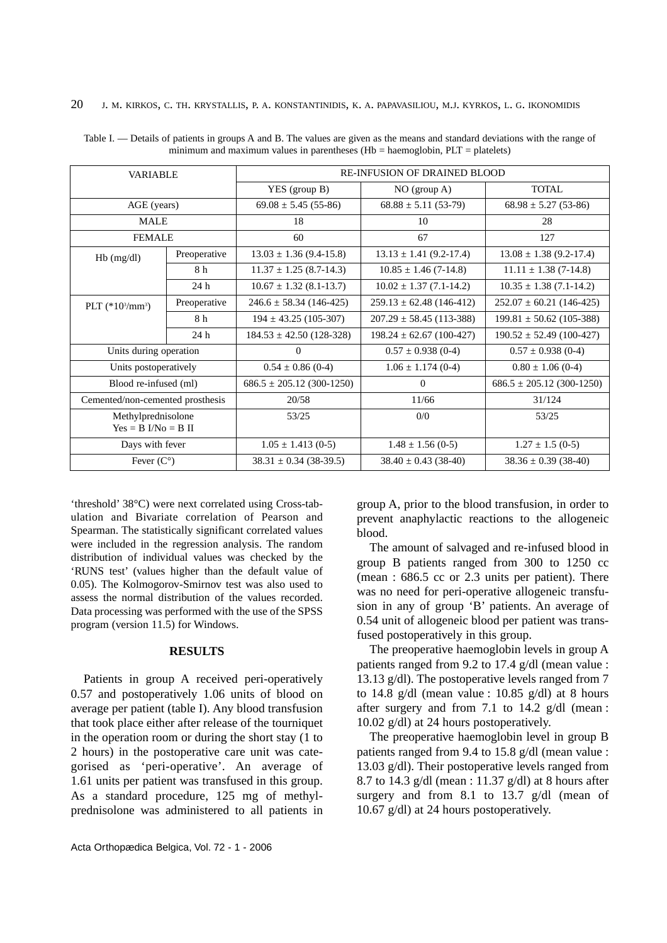| <b>VARIABLE</b>                  |              | <b>RE-INFUSION OF DRAINED BLOOD</b> |                              |                               |
|----------------------------------|--------------|-------------------------------------|------------------------------|-------------------------------|
|                                  |              | $YES$ (group B)                     | NO (group A)                 | <b>TOTAL</b>                  |
| AGE (years)                      |              | $69.08 \pm 5.45(55-86)$             | $68.88 \pm 5.11$ (53-79)     | $68.98 \pm 5.27$ (53-86)      |
| <b>MALE</b>                      |              | 18                                  | 10                           | 28                            |
| <b>FEMALE</b>                    |              | 60                                  | 67                           | 127                           |
| $Hb$ (mg/dl)                     | Preoperative | $13.03 \pm 1.36$ (9.4-15.8)         | $13.13 \pm 1.41$ (9.2-17.4)  | $13.08 \pm 1.38$ (9.2-17.4)   |
|                                  | 8 h          | $11.37 \pm 1.25$ (8.7-14.3)         | $10.85 \pm 1.46$ (7-14.8)    | $11.11 \pm 1.38$ (7-14.8)     |
|                                  | 24h          | $10.67 \pm 1.32$ (8.1-13.7)         | $10.02 \pm 1.37$ (7.1-14.2)  | $10.35 \pm 1.38$ (7.1-14.2)   |
| PLT $(*10^3/mm^3)$               | Preoperative | $246.6 \pm 58.34$ (146-425)         | $259.13 \pm 62.48$ (146-412) | $252.07 \pm 60.21$ (146-425)  |
|                                  | 8 h          | $194 \pm 43.25$ (105-307)           | $207.29 \pm 58.45$ (113-388) | $199.81 \pm 50.62$ (105-388)  |
|                                  | 24 h         | $184.53 \pm 42.50$ (128-328)        | $198.24 \pm 62.67$ (100-427) | $190.52 \pm 52.49$ (100-427)  |
| Units during operation           |              | $\Omega$                            | $0.57 \pm 0.938$ (0-4)       | $0.57 \pm 0.938$ (0-4)        |
| Units postoperatively            |              | $0.54 \pm 0.86$ (0-4)               | $1.06 \pm 1.174(0-4)$        | $0.80 \pm 1.06$ (0-4)         |
| Blood re-infused (ml)            |              | $686.5 \pm 205.12$ (300-1250)       | $\Omega$                     | $686.5 \pm 205.12$ (300-1250) |
| Cemented/non-cemented prosthesis |              | 20/58                               | 11/66                        | 31/124                        |
| Methylprednisolone               |              | 53/25                               | 0/0                          | 53/25                         |
| $Yes = B I/No = B II$            |              |                                     |                              |                               |
| Days with fever                  |              | $1.05 \pm 1.413(0-5)$               | $1.48 \pm 1.56$ (0-5)        | $1.27 \pm 1.5$ (0-5)          |
| Fever $(C^{\circ})$              |              | $38.31 \pm 0.34$ (38-39.5)          | $38.40 \pm 0.43$ (38-40)     | $38.36 \pm 0.39$ (38-40)      |

Table I. — Details of patients in groups A and B. The values are given as the means and standard deviations with the range of minimum and maximum values in parentheses (Hb = haemoglobin,  $PLT = platelets$ )

'threshold' 38°C) were next correlated using Cross-tabulation and Bivariate correlation of Pearson and Spearman. The statistically significant correlated values were included in the regression analysis. The random distribution of individual values was checked by the 'RUNS test' (values higher than the default value of 0.05). The Kolmogorov-Smirnov test was also used to assess the normal distribution of the values recorded. Data processing was performed with the use of the SPSS program (version 11.5) for Windows.

#### **RESULTS**

Patients in group A received peri-operatively 0.57 and postoperatively 1.06 units of blood on average per patient (table I). Any blood transfusion that took place either after release of the tourniquet in the operation room or during the short stay (1 to 2 hours) in the postoperative care unit was categorised as 'peri-operative'. An average of 1.61 units per patient was transfused in this group. As a standard procedure, 125 mg of methylprednisolone was administered to all patients in

group A, prior to the blood transfusion, in order to prevent anaphylactic reactions to the allogeneic blood.

The amount of salvaged and re-infused blood in group B patients ranged from 300 to 1250 cc (mean : 686.5 cc or 2.3 units per patient). There was no need for peri-operative allogeneic transfusion in any of group 'B' patients. An average of 0.54 unit of allogeneic blood per patient was transfused postoperatively in this group.

The preoperative haemoglobin levels in group A patients ranged from 9.2 to 17.4 g/dl (mean value : 13.13 g/dl). The postoperative levels ranged from 7 to 14.8  $g/dl$  (mean value : 10.85  $g/dl$ ) at 8 hours after surgery and from 7.1 to 14.2 g/dl (mean : 10.02 g/dl) at 24 hours postoperatively.

The preoperative haemoglobin level in group B patients ranged from 9.4 to 15.8 g/dl (mean value : 13.03 g/dl). Their postoperative levels ranged from 8.7 to 14.3 g/dl (mean : 11.37 g/dl) at 8 hours after surgery and from 8.1 to 13.7 g/dl (mean of 10.67 g/dl) at 24 hours postoperatively.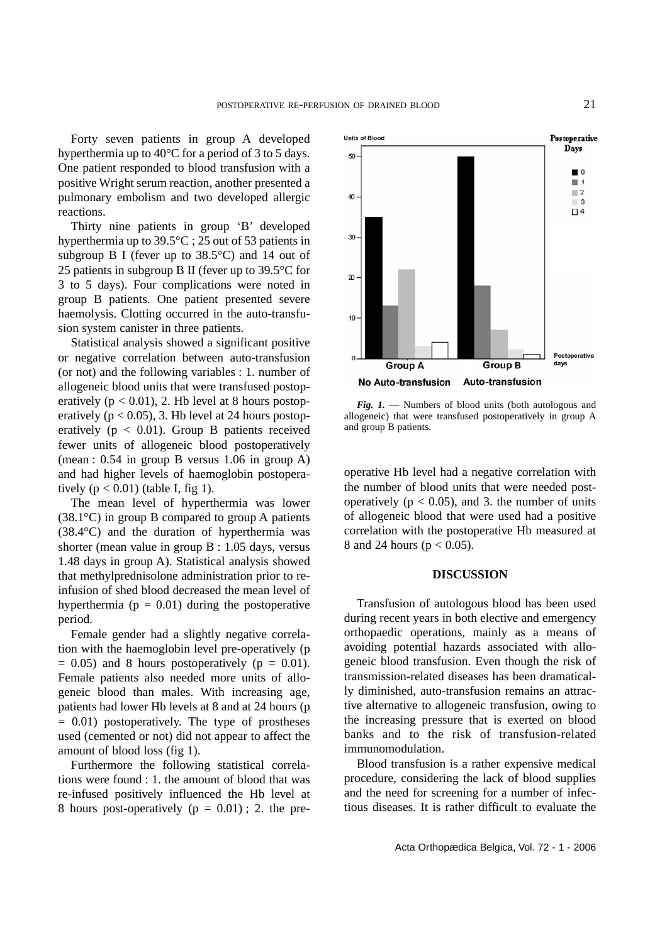Forty seven patients in group A developed hyperthermia up to 40°C for a period of 3 to 5 days. One patient responded to blood transfusion with a positive Wright serum reaction, another presented a pulmonary embolism and two developed allergic reactions.

Thirty nine patients in group 'B' developed hyperthermia up to 39.5°C ; 25 out of 53 patients in subgroup B I (fever up to 38.5°C) and 14 out of 25 patients in subgroup B II (fever up to 39.5°C for 3 to 5 days). Four complications were noted in group B patients. One patient presented severe haemolysis. Clotting occurred in the auto-transfusion system canister in three patients.

Statistical analysis showed a significant positive or negative correlation between auto-transfusion (or not) and the following variables : 1. number of allogeneic blood units that were transfused postoperatively  $(p < 0.01)$ , 2. Hb level at 8 hours postoperatively ( $p < 0.05$ ), 3. Hb level at 24 hours postoperatively ( $p < 0.01$ ). Group B patients received fewer units of allogeneic blood postoperatively (mean : 0.54 in group B versus 1.06 in group A) and had higher levels of haemoglobin postoperatively  $(p < 0.01)$  (table I, fig 1).

The mean level of hyperthermia was lower  $(38.1^{\circ}C)$  in group B compared to group A patients (38.4°C) and the duration of hyperthermia was shorter (mean value in group B : 1.05 days, versus 1.48 days in group A). Statistical analysis showed that methylprednisolone administration prior to reinfusion of shed blood decreased the mean level of hyperthermia ( $p = 0.01$ ) during the postoperative period.

Female gender had a slightly negative correlation with the haemoglobin level pre-operatively (p  $= 0.05$ ) and 8 hours postoperatively ( $p = 0.01$ ). Female patients also needed more units of allogeneic blood than males. With increasing age, patients had lower Hb levels at 8 and at 24 hours (p  $= 0.01$ ) postoperatively. The type of prostheses used (cemented or not) did not appear to affect the amount of blood loss (fig 1).

Furthermore the following statistical correlations were found : 1. the amount of blood that was re-infused positively influenced the Hb level at 8 hours post-operatively ( $p = 0.01$ ); 2. the pre-



*Fig. 1.* — Numbers of blood units (both autologous and allogeneic) that were transfused postoperatively in group A and group B patients.

operative Hb level had a negative correlation with the number of blood units that were needed postoperatively ( $p < 0.05$ ), and 3. the number of units of allogeneic blood that were used had a positive correlation with the postoperative Hb measured at 8 and 24 hours ( $p < 0.05$ ).

### **DISCUSSION**

Transfusion of autologous blood has been used during recent years in both elective and emergency orthopaedic operations, mainly as a means of avoiding potential hazards associated with allogeneic blood transfusion. Even though the risk of transmission-related diseases has been dramatically diminished, auto-transfusion remains an attractive alternative to allogeneic transfusion, owing to the increasing pressure that is exerted on blood banks and to the risk of transfusion-related immunomodulation.

Blood transfusion is a rather expensive medical procedure, considering the lack of blood supplies and the need for screening for a number of infectious diseases. It is rather difficult to evaluate the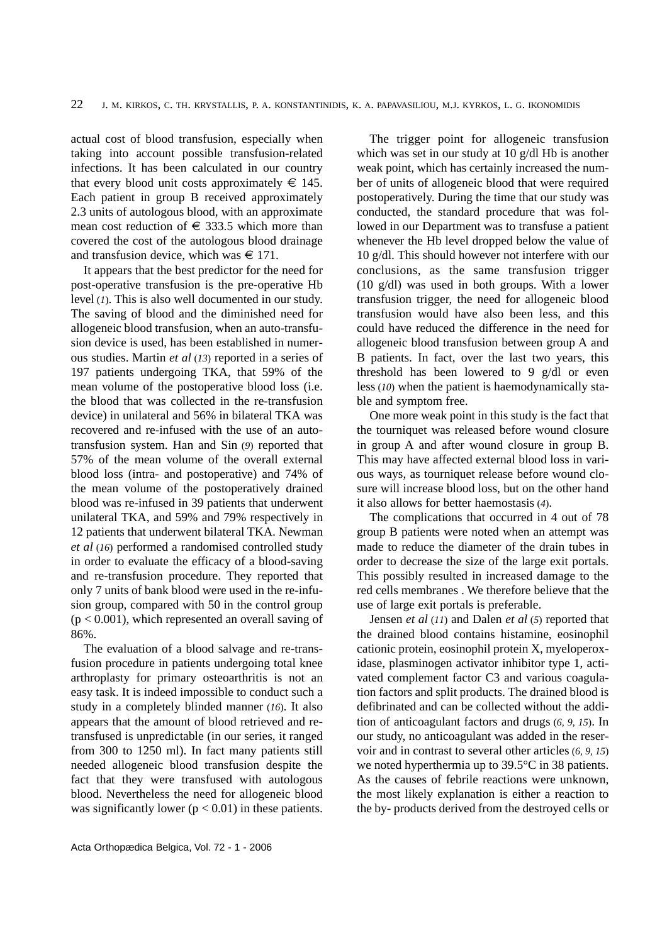actual cost of blood transfusion, especially when taking into account possible transfusion-related infections. It has been calculated in our country that every blood unit costs approximately  $\in$  145. Each patient in group B received approximately 2.3 units of autologous blood, with an approximate mean cost reduction of  $\epsilon$  333.5 which more than covered the cost of the autologous blood drainage and transfusion device, which was  $\in$  171.

It appears that the best predictor for the need for post-operative transfusion is the pre-operative Hb level (*1*). This is also well documented in our study. The saving of blood and the diminished need for allogeneic blood transfusion, when an auto-transfusion device is used, has been established in numerous studies. Martin *et al* (*13*) reported in a series of 197 patients undergoing TKA, that 59% of the mean volume of the postoperative blood loss (i.e. the blood that was collected in the re-transfusion device) in unilateral and 56% in bilateral TKA was recovered and re-infused with the use of an autotransfusion system. Han and Sin (*9*) reported that 57% of the mean volume of the overall external blood loss (intra- and postoperative) and 74% of the mean volume of the postoperatively drained blood was re-infused in 39 patients that underwent unilateral TKA, and 59% and 79% respectively in 12 patients that underwent bilateral TKA. Newman *et al* (*16*) performed a randomised controlled study in order to evaluate the efficacy of a blood-saving and re-transfusion procedure. They reported that only 7 units of bank blood were used in the re-infusion group, compared with 50 in the control group  $(p < 0.001)$ , which represented an overall saving of 86%.

The evaluation of a blood salvage and re-transfusion procedure in patients undergoing total knee arthroplasty for primary osteoarthritis is not an easy task. It is indeed impossible to conduct such a study in a completely blinded manner (*16*). It also appears that the amount of blood retrieved and retransfused is unpredictable (in our series, it ranged from 300 to 1250 ml). In fact many patients still needed allogeneic blood transfusion despite the fact that they were transfused with autologous blood. Nevertheless the need for allogeneic blood was significantly lower  $(p < 0.01)$  in these patients.

The trigger point for allogeneic transfusion which was set in our study at 10 g/dl Hb is another weak point, which has certainly increased the number of units of allogeneic blood that were required postoperatively. During the time that our study was conducted, the standard procedure that was followed in our Department was to transfuse a patient whenever the Hb level dropped below the value of 10 g/dl. This should however not interfere with our conclusions, as the same transfusion trigger (10 g/dl) was used in both groups. With a lower transfusion trigger, the need for allogeneic blood transfusion would have also been less, and this could have reduced the difference in the need for allogeneic blood transfusion between group A and B patients. In fact, over the last two years, this threshold has been lowered to 9 g/dl or even less (*10*) when the patient is haemodynamically stable and symptom free.

One more weak point in this study is the fact that the tourniquet was released before wound closure in group A and after wound closure in group B. This may have affected external blood loss in various ways, as tourniquet release before wound closure will increase blood loss, but on the other hand it also allows for better haemostasis (*4*).

The complications that occurred in 4 out of 78 group B patients were noted when an attempt was made to reduce the diameter of the drain tubes in order to decrease the size of the large exit portals. This possibly resulted in increased damage to the red cells membranes . We therefore believe that the use of large exit portals is preferable.

Jensen *et al* (*11*) and Dalen *et al* (*5*) reported that the drained blood contains histamine, eosinophil cationic protein, eosinophil protein X, myeloperoxidase, plasminogen activator inhibitor type 1, activated complement factor C3 and various coagulation factors and split products. The drained blood is defibrinated and can be collected without the addition of anticoagulant factors and drugs (*6, 9, 15*). In our study, no anticoagulant was added in the reservoir and in contrast to several other articles (*6, 9, 15*) we noted hyperthermia up to 39.5°C in 38 patients. As the causes of febrile reactions were unknown, the most likely explanation is either a reaction to the by- products derived from the destroyed cells or